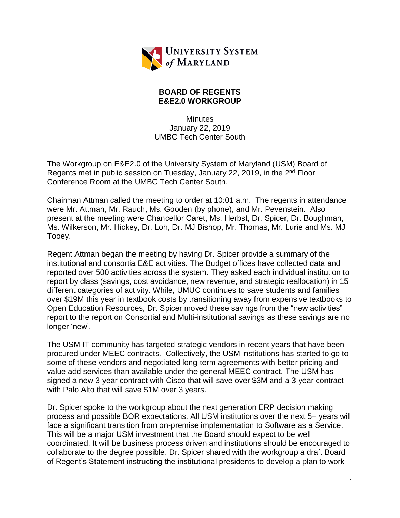

## **BOARD OF REGENTS E&E2.0 WORKGROUP**

**Minutes** January 22, 2019 UMBC Tech Center South

\_\_\_\_\_\_\_\_\_\_\_\_\_\_\_\_\_\_\_\_\_\_\_\_\_\_\_\_\_\_\_\_\_\_\_\_\_\_\_\_\_\_\_\_\_\_\_\_\_\_\_\_\_\_\_\_\_\_\_\_\_\_\_\_\_\_\_\_\_\_

The Workgroup on E&E2.0 of the University System of Maryland (USM) Board of Regents met in public session on Tuesday, January 22, 2019, in the 2<sup>nd</sup> Floor Conference Room at the UMBC Tech Center South.

Chairman Attman called the meeting to order at 10:01 a.m. The regents in attendance were Mr. Attman, Mr. Rauch, Ms. Gooden (by phone), and Mr. Pevenstein. Also present at the meeting were Chancellor Caret, Ms. Herbst, Dr. Spicer, Dr. Boughman, Ms. Wilkerson, Mr. Hickey, Dr. Loh, Dr. MJ Bishop, Mr. Thomas, Mr. Lurie and Ms. MJ Tooey.

Regent Attman began the meeting by having Dr. Spicer provide a summary of the institutional and consortia E&E activities. The Budget offices have collected data and reported over 500 activities across the system. They asked each individual institution to report by class (savings, cost avoidance, new revenue, and strategic reallocation) in 15 different categories of activity. While, UMUC continues to save students and families over \$19M this year in textbook costs by transitioning away from expensive textbooks to Open Education Resources, Dr. Spicer moved these savings from the "new activities" report to the report on Consortial and Multi-institutional savings as these savings are no longer 'new'.

The USM IT community has targeted strategic vendors in recent years that have been procured under MEEC contracts. Collectively, the USM institutions has started to go to some of these vendors and negotiated long-term agreements with better pricing and value add services than available under the general MEEC contract. The USM has signed a new 3-year contract with Cisco that will save over \$3M and a 3-year contract with Palo Alto that will save \$1M over 3 years.

Dr. Spicer spoke to the workgroup about the next generation ERP decision making process and possible BOR expectations. All USM institutions over the next 5+ years will face a significant transition from on-premise implementation to Software as a Service. This will be a major USM investment that the Board should expect to be well coordinated. It will be business process driven and institutions should be encouraged to collaborate to the degree possible. Dr. Spicer shared with the workgroup a draft Board of Regent's Statement instructing the institutional presidents to develop a plan to work